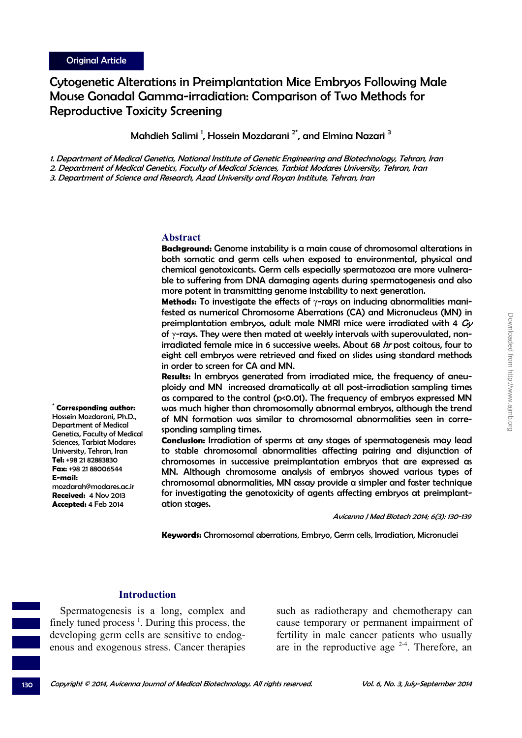**\* Corresponding author:** Hossein Mozdarani, Ph.D., Department of Medical Genetics, Faculty of Medical Sciences, Tarbiat Modares University, Tehran, Iran **Tel:** +98 21 82883830 **Fax:** +98 21 88006544

mozdarah@modares.ac.ir **Received:** 4 Nov 2013 **Accepted:** 4 Feb 2014

**E-mail:**

# Cytogenetic Alterations in Preimplantation Mice Embryos Following Male Mouse Gonadal Gamma-irradiation: Comparison of Two Methods for Reproductive Toxicity Screening

Mahdieh Salimi <sup>1</sup>, Hossein Mozdarani <sup>2\*</sup>, and Elmina Nazari <sup>3</sup>

1. Department of Medical Genetics, National Institute of Genetic Engineering and Biotechnology, Tehran, Iran

2. Department of Medical Genetics, Faculty of Medical Sciences, Tarbiat Modares University, Tehran, Iran

3. Department of Science and Research, Azad University and Royan Institute, Tehran, Iran

#### **Abstract**

**Background:** Genome instability is a main cause of chromosomal alterations in both somatic and germ cells when exposed to environmental, physical and chemical genotoxicants. Germ cells especially spermatozoa are more vulnerable to suffering from DNA damaging agents during spermatogenesis and also more potent in transmitting genome instability to next generation.

**Methods:** To investigate the effects of γ-rays on inducing abnormalities manifested as numerical Chromosome Aberrations (CA) and Micronucleus (MN) in preimplantation embryos, adult male NMRI mice were irradiated with 4  $Gy$ of γ-rays. They were then mated at weekly intervals with superovulated, nonirradiated female mice in 6 successive weeks. About 68 hr post coitous, four to eight cell embryos were retrieved and fixed on slides using standard methods in order to screen for CA and MN.

**Results:** In embryos generated from irradiated mice, the frequency of aneuploidy and MN increased dramatically at all post-irradiation sampling times as compared to the control ( $p<0.01$ ). The frequency of embryos expressed MN was much higher than chromosomally abnormal embryos, although the trend of MN formation was similar to chromosomal abnormalities seen in corresponding sampling times.

**Conclusion:** Irradiation of sperms at any stages of spermatogenesis may lead to stable chromosomal abnormalities affecting pairing and disjunction of chromosomes in successive preimplantation embryos that are expressed as MN. Although chromosome analysis of embryos showed various types of chromosomal abnormalities, MN assay provide a simpler and faster technique for investigating the genotoxicity of agents affecting embryos at preimplantation stages.

Avicenna J Med Biotech 2014; 6(3): 130-139

**Keywords:** Chromosomal aberrations, Embryo, Germ cells, Irradiation, Micronuclei

### **Introduction**

Spermatogenesis is a long, complex and finely tuned process<sup> $1$ </sup>. During this process, the developing germ cells are sensitive to endogenous and exogenous stress. Cancer therapies

such as radiotherapy and chemotherapy can cause temporary or permanent impairment of fertility in male cancer patients who usually are in the reproductive age  $2-4$ . Therefore, an

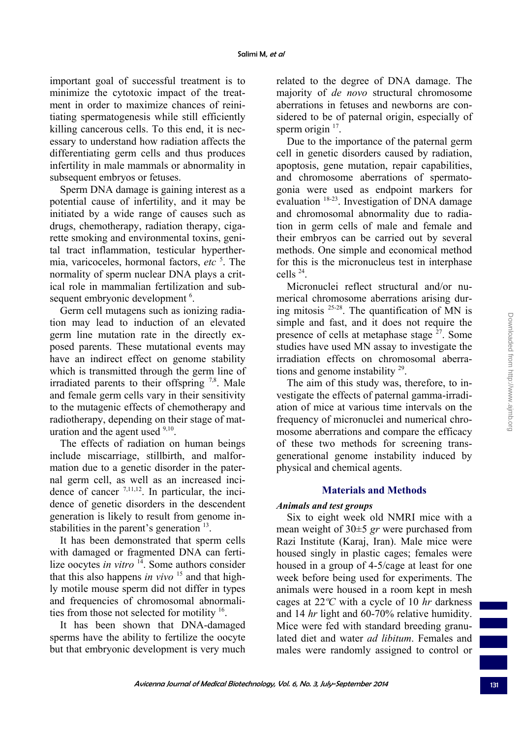important goal of successful treatment is to minimize the cytotoxic impact of the treatment in order to maximize chances of reinitiating spermatogenesis while still efficiently killing cancerous cells. To this end, it is necessary to understand how radiation affects the differentiating germ cells and thus produces infertility in male mammals or abnormality in subsequent embryos or fetuses.

Sperm DNA damage is gaining interest as a potential cause of infertility, and it may be initiated by a wide range of causes such as drugs, chemotherapy, radiation therapy, cigarette smoking and environmental toxins, genital tract inflammation, testicular hyperthermia, varicoceles, hormonal factors, *etc* <sup>5</sup> . The normality of sperm nuclear DNA plays a critical role in mammalian fertilization and subsequent embryonic development<sup>6</sup>.

Germ cell mutagens such as ionizing radiation may lead to induction of an elevated germ line mutation rate in the directly exposed parents. These mutational events may have an indirect effect on genome stability which is transmitted through the germ line of irradiated parents to their offspring  $7,8$ . Male and female germ cells vary in their sensitivity to the mutagenic effects of chemotherapy and radiotherapy, depending on their stage of maturation and the agent used  $9,10$ .

The effects of radiation on human beings include miscarriage, stillbirth, and malformation due to a genetic disorder in the paternal germ cell, as well as an increased incidence of cancer  $7,11,12$ . In particular, the incidence of genetic disorders in the descendent generation is likely to result from genome instabilities in the parent's generation  $13$ .

It has been demonstrated that sperm cells with damaged or fragmented DNA can fertilize oocytes *in vitro* <sup>14</sup>. Some authors consider that this also happens *in vivo* 15 and that highly motile mouse sperm did not differ in types and frequencies of chromosomal abnormalities from those not selected for motility 16.

It has been shown that DNA-damaged sperms have the ability to fertilize the oocyte but that embryonic development is very much

related to the degree of DNA damage. The majority of *de novo* structural chromosome aberrations in fetuses and newborns are considered to be of paternal origin, especially of sperm origin  $17$ .

Due to the importance of the paternal germ cell in genetic disorders caused by radiation, apoptosis, gene mutation, repair capabilities, and chromosome aberrations of spermatogonia were used as endpoint markers for evaluation <sup>18-23</sup>. Investigation of DNA damage and chromosomal abnormality due to radiation in germ cells of male and female and their embryos can be carried out by several methods. One simple and economical method for this is the micronucleus test in interphase cells 24.

Micronuclei reflect structural and/or numerical chromosome aberrations arising during mitosis  $25-28$ . The quantification of MN is simple and fast, and it does not require the presence of cells at metaphase stage  $27$ . Some studies have used MN assay to investigate the irradiation effects on chromosomal aberrations and genome instability 29.

The aim of this study was, therefore, to investigate the effects of paternal gamma-irradiation of mice at various time intervals on the frequency of micronuclei and numerical chromosome aberrations and compare the efficacy of these two methods for screening transgenerational genome instability induced by physical and chemical agents.

# **Materials and Methods**

# *Animals and test groups*

Six to eight week old NMRI mice with a mean weight of 30±5 *gr* were purchased from Razi Institute (Karaj, Iran). Male mice were housed singly in plastic cages; females were housed in a group of 4-5/cage at least for one week before being used for experiments. The animals were housed in a room kept in mesh cages at 22*ºC* with a cycle of 10 *hr* darkness and 14 *hr* light and 60-70% relative humidity. Mice were fed with standard breeding granulated diet and water *ad libitum*. Females and males were randomly assigned to control or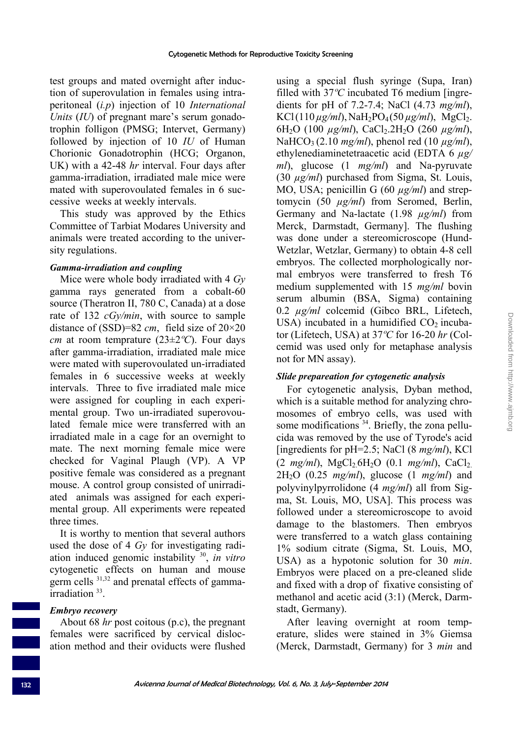test groups and mated overnight after induction of superovulation in females using intraperitoneal (*i.p*) injection of 10 *International Units* (*IU*) of pregnant mare's serum gonadotrophin folligon (PMSG; Intervet, Germany) followed by injection of 10 *IU* of Human Chorionic Gonadotrophin (HCG; Organon, UK) with a 42-48 *hr* interval. Four days after gamma-irradiation, irradiated male mice were mated with superovoulated females in 6 successive weeks at weekly intervals.

This study was approved by the Ethics Committee of Tarbiat Modares University and animals were treated according to the university regulations.

### *Gamma-irradiation and coupling*

Mice were whole body irradiated with 4 *Gy* gamma rays generated from a cobalt-60 source (Theratron II, 780 C, Canada) at a dose rate of 132 *cGy/min*, with source to sample distance of (SSD)=82 *cm*, field size of 20×20 *cm* at room temprature (23±2*ºC*). Four days after gamma-irradiation, irradiated male mice were mated with superovoulated un-irradiated females in 6 successive weeks at weekly intervals. Three to five irradiated male mice were assigned for coupling in each experimental group. Two un-irradiated superovoulated female mice were transferred with an irradiated male in a cage for an overnight to mate. The next morning female mice were checked for Vaginal Plaugh (VP). A VP positive female was considered as a pregnant mouse. A control group consisted of unirradiated animals was assigned for each experimental group. All experiments were repeated three times.

It is worthy to mention that several authors used the dose of 4 *Gy* for investigating radiation induced genomic instability 30, *in vitro* cytogenetic effects on human and mouse germ cells 31,32 and prenatal effects of gammairradiation<sup>33</sup>.

### *Embryo recovery*

About 68 *hr* post coitous (p.c), the pregnant females were sacrificed by cervical dislocation method and their oviducts were flushed using a special flush syringe (Supa, Iran) filled with 37*ºC* incubated T6 medium [ingredients for pH of 7.2-7.4; NaCl (4.73 *mg/ml*),  $KCl(110 \mu g/ml)$ , NaH<sub>2</sub>PO<sub>4</sub>(50  $\mu g/ml$ ), MgCl<sub>2</sub>. 6H2O (100 *µg/ml*), CaCl2.2H2O (260 *µg/ml*), NaHCO3 (2.10 *mg/ml*), phenol red (10 *µg/ml*), ethylenediaminetetraacetic acid (EDTA 6 *µg/ ml*), glucose (1 *mg/ml*) and Na-pyruvate (30 *µg/ml*) purchased from Sigma, St. Louis, MO, USA; penicillin G (60  $\mu$ g/ml) and streptomycin (50 *µg/ml*) from Seromed, Berlin, Germany and Na-lactate (1.98 *µg/ml*) from Merck, Darmstadt, Germany]. The flushing was done under a stereomicroscope (Hund-Wetzlar, Wetzlar, Germany) to obtain 4-8 cell embryos. The collected morphologically normal embryos were transferred to fresh T6 medium supplemented with 15 *mg/ml* bovin serum albumin (BSA, Sigma) containing 0.2 *µg/ml* colcemid (Gibco BRL, Lifetech, USA) incubated in a humidified  $CO<sub>2</sub>$  incubator (Lifetech, USA) at 37*ºC* for 16-20 *hr* (Colcemid was used only for metaphase analysis not for MN assay).

# *Slide prepareation for cytogenetic analysis*

For cytogenetic analysis, Dyban method, which is a suitable method for analyzing chromosomes of embryo cells, was used with some modifications <sup>34</sup>. Briefly, the zona pellucida was removed by the use of Tyrode's acid [ingredients for pH=2.5; NaCl (8 *mg/ml*), KCl  $(2 \text{ mg/ml})$ , MgCl<sub>2</sub>.6H<sub>2</sub>O (0.1 *mg/ml*), CaCl<sub>2</sub>. 2H2O (0.25 *mg/ml*), glucose (1 *mg/ml*) and polyvinylpyrrolidone (4 *mg/ml*) all from Sigma, St. Louis, MO, USA]. This process was followed under a stereomicroscope to avoid damage to the blastomers. Then embryos were transferred to a watch glass containing 1% sodium citrate (Sigma, St. Louis, MO, USA) as a hypotonic solution for 30 *min*. Embryos were placed on a pre-cleaned slide and fixed with a drop of fixative consisting of methanol and acetic acid (3:1) (Merck, Darmstadt, Germany).

After leaving overnight at room temperature, slides were stained in 3% Giemsa (Merck, Darmstadt, Germany) for 3 *min* and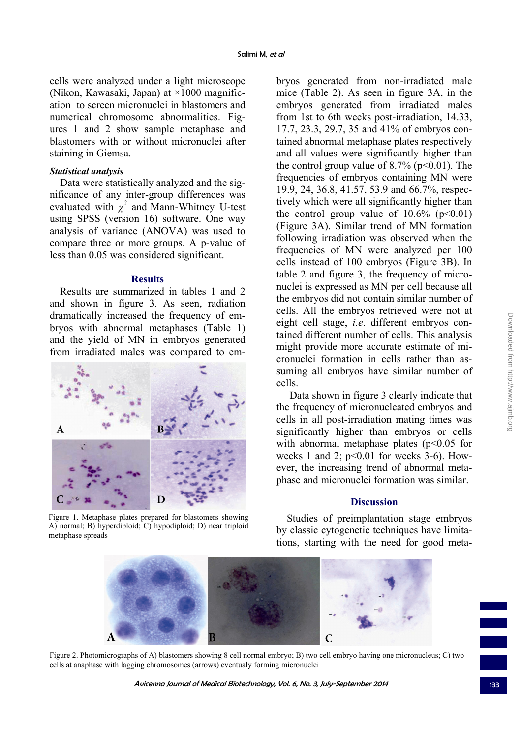cells were analyzed under a light microscope (Nikon, Kawasaki, Japan) at ×1000 magnification to screen micronuclei in blastomers and numerical chromosome abnormalities. Figures 1 and 2 show sample metaphase and blastomers with or without micronuclei after staining in Giemsa.

#### *Statistical analysis*

Data were statistically analyzed and the significance of any inter-group differences was evaluated with  $\chi^2$  and Mann-Whitney U-test using SPSS (version 16) software. One way analysis of variance (ANOVA) was used to compare three or more groups. A p-value of less than 0.05 was considered significant.

#### **Results**

Results are summarized in tables 1 and 2 and shown in figure 3. As seen, radiation dramatically increased the frequency of embryos with abnormal metaphases (Table 1) and the yield of MN in embryos generated from irradiated males was compared to em-



Figure 1. Metaphase plates prepared for blastomers showing A) normal; B) hyperdiploid; C) hypodiploid; D) near triploid metaphase spreads

bryos generated from non-irradiated male mice (Table 2). As seen in figure 3A, in the embryos generated from irradiated males from 1st to 6th weeks post-irradiation, 14.33, 17.7, 23.3, 29.7, 35 and 41% of embryos contained abnormal metaphase plates respectively and all values were significantly higher than the control group value of  $8.7\%$  (p<0.01). The frequencies of embryos containing MN were 19.9, 24, 36.8, 41.57, 53.9 and 66.7%, respectively which were all significantly higher than the control group value of  $10.6\%$  (p<0.01) (Figure 3A). Similar trend of MN formation following irradiation was observed when the frequencies of MN were analyzed per 100 cells instead of 100 embryos (Figure 3B). In table 2 and figure 3, the frequency of micronuclei is expressed as MN per cell because all the embryos did not contain similar number of cells. All the embryos retrieved were not at eight cell stage, *i.e*. different embryos contained different number of cells. This analysis might provide more accurate estimate of micronuclei formation in cells rather than assuming all embryos have similar number of cells.

 Data shown in figure 3 clearly indicate that the frequency of micronucleated embryos and cells in all post-irradiation mating times was significantly higher than embryos or cells with abnormal metaphase plates  $(p<0.05$  for weeks 1 and 2;  $p<0.01$  for weeks 3-6). However, the increasing trend of abnormal metaphase and micronuclei formation was similar.

#### **Discussion**

Studies of preimplantation stage embryos by classic cytogenetic techniques have limitations, starting with the need for good meta-



Figure 2. Photomicrographs of A) blastomers showing 8 cell normal embryo; B) two cell embryo having one micronucleus; C) two cells at anaphase with lagging chromosomes (arrows) eventualy forming micronuclei

Avicenna Journal of Medical Biotechnology, Vol. 6, No. 3, July-September 2014 133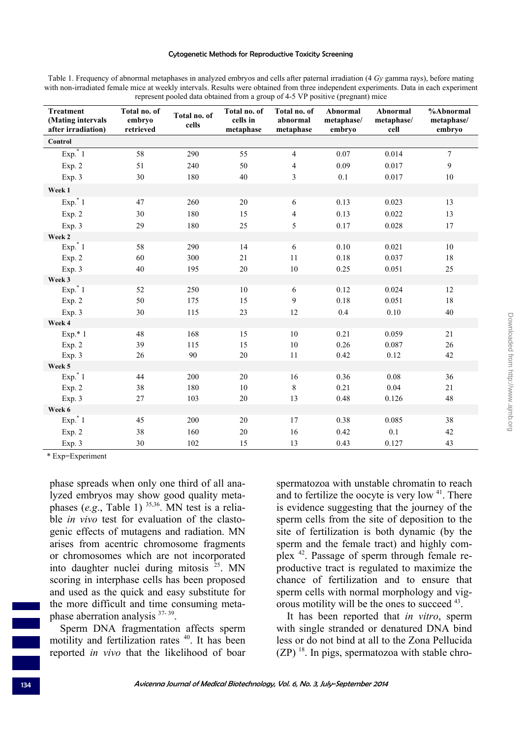#### Cytogenetic Methods for Reproductive Toxicity Screening

Table 1. Frequency of abnormal metaphases in analyzed embryos and cells after paternal irradiation (4 *Gy* gamma rays), before mating with non-irradiated female mice at weekly intervals. Results were obtained from three independent experiments. Data in each experiment represent pooled data obtained from a group of 4-5 VP positive (pregnant) mice

| <b>Treatment</b><br>(Mating intervals<br>after irradiation) | Total no. of<br>embryo<br>retrieved | Total no. of<br>cells | Total no. of<br>cells in<br>metaphase | Total no. of<br>abnormal<br>metaphase | Abnormal<br>metaphase/<br>embryo | Abnormal<br>metaphase/<br>cell | %Abnormal<br>metaphase/<br>embryo |
|-------------------------------------------------------------|-------------------------------------|-----------------------|---------------------------------------|---------------------------------------|----------------------------------|--------------------------------|-----------------------------------|
| Control                                                     |                                     |                       |                                       |                                       |                                  |                                |                                   |
| $Exp.*1$                                                    | 58                                  | 290                   | 55                                    | $\overline{4}$                        | 0.07                             | 0.014                          | $\overline{7}$                    |
| Exp. 2                                                      | 51                                  | 240                   | 50                                    | 4                                     | 0.09                             | 0.017                          | 9                                 |
| Exp. 3                                                      | 30                                  | 180                   | 40                                    | 3                                     | $0.1\,$                          | 0.017                          | $10\,$                            |
| Week 1                                                      |                                     |                       |                                       |                                       |                                  |                                |                                   |
| Exp. $*1$                                                   | 47                                  | 260                   | 20                                    | 6                                     | 0.13                             | 0.023                          | 13                                |
| Exp. 2                                                      | 30                                  | 180                   | 15                                    | 4                                     | 0.13                             | 0.022                          | 13                                |
| Exp. 3                                                      | 29                                  | 180                   | 25                                    | 5                                     | 0.17                             | 0.028                          | 17                                |
| Week 2                                                      |                                     |                       |                                       |                                       |                                  |                                |                                   |
| $Exp.*1$                                                    | 58                                  | 290                   | 14                                    | 6                                     | 0.10                             | 0.021                          | 10                                |
| Exp. 2                                                      | 60                                  | 300                   | 21                                    | 11                                    | 0.18                             | 0.037                          | 18                                |
| Exp. 3                                                      | 40                                  | 195                   | 20                                    | $10\,$                                | 0.25                             | 0.051                          | 25                                |
| Week 3                                                      |                                     |                       |                                       |                                       |                                  |                                |                                   |
| $Exp.*1$                                                    | 52                                  | 250                   | 10                                    | 6                                     | 0.12                             | 0.024                          | 12                                |
| Exp. 2                                                      | 50                                  | 175                   | 15                                    | 9                                     | 0.18                             | 0.051                          | 18                                |
| Exp. 3                                                      | 30                                  | 115                   | 23                                    | 12                                    | 0.4                              | $0.10\,$                       | $40\,$                            |
| Week 4                                                      |                                     |                       |                                       |                                       |                                  |                                |                                   |
| $Exp.* 1$                                                   | 48                                  | 168                   | 15                                    | $10\,$                                | 0.21                             | 0.059                          | 21                                |
| Exp. 2                                                      | 39                                  | 115                   | 15                                    | $10\,$                                | 0.26                             | 0.087                          | 26                                |
| Exp. 3                                                      | 26                                  | 90                    | 20                                    | 11                                    | 0.42                             | 0.12                           | 42                                |
| Week 5                                                      |                                     |                       |                                       |                                       |                                  |                                |                                   |
| $Exp.*1$                                                    | 44                                  | 200                   | 20                                    | 16                                    | 0.36                             | 0.08                           | 36                                |
| Exp. 2                                                      | 38                                  | 180                   | 10                                    | 8                                     | 0.21                             | 0.04                           | 21                                |
| Exp. 3                                                      | 27                                  | 103                   | 20                                    | 13                                    | 0.48                             | 0.126                          | 48                                |
| Week 6                                                      |                                     |                       |                                       |                                       |                                  |                                |                                   |
| $Exp.*1$                                                    | 45                                  | 200                   | 20                                    | 17                                    | 0.38                             | 0.085                          | 38                                |
| Exp. 2                                                      | 38                                  | 160                   | 20                                    | 16                                    | 0.42                             | 0.1                            | 42                                |
| Exp. 3                                                      | 30                                  | 102                   | 15                                    | 13                                    | 0.43                             | 0.127                          | 43                                |

\* Exp=Experiment

phase spreads when only one third of all analyzed embryos may show good quality metaphases (*e.g.*, Table 1)  $35,36$ . MN test is a reliable *in vivo* test for evaluation of the clastogenic effects of mutagens and radiation. MN arises from acentric chromosome fragments or chromosomes which are not incorporated into daughter nuclei during mitosis  $^{25}$ . MN scoring in interphase cells has been proposed and used as the quick and easy substitute for the more difficult and time consuming metaphase aberration analysis 37- 39.

Sperm DNA fragmentation affects sperm motility and fertilization rates <sup>40</sup>. It has been reported *in vivo* that the likelihood of boar

spermatozoa with unstable chromatin to reach and to fertilize the oocyte is very low  $41$ . There is evidence suggesting that the journey of the sperm cells from the site of deposition to the site of fertilization is both dynamic (by the sperm and the female tract) and highly complex 42. Passage of sperm through female reproductive tract is regulated to maximize the chance of fertilization and to ensure that sperm cells with normal morphology and vigorous motility will be the ones to succeed 43.

It has been reported that *in vitro*, sperm with single stranded or denatured DNA bind less or do not bind at all to the Zona Pellucida  $(ZP)$  <sup>18</sup>. In pigs, spermatozoa with stable chro-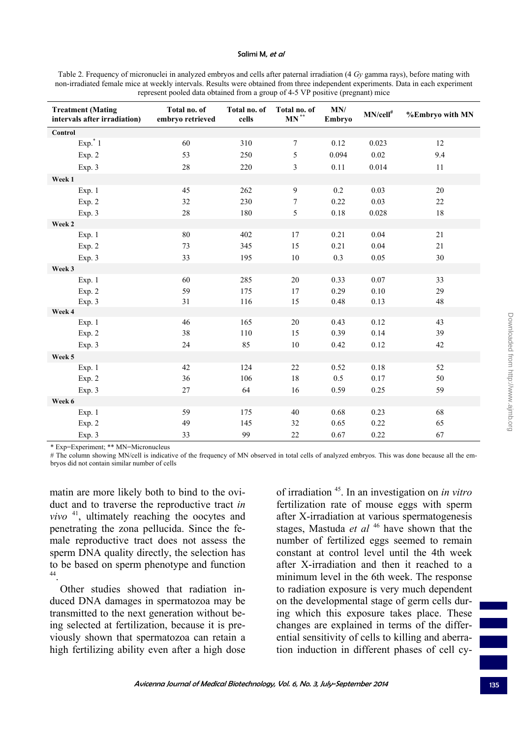#### Salimi M, et al

Table 2. Frequency of micronuclei in analyzed embryos and cells after paternal irradiation (4 *Gy* gamma rays), before mating with non-irradiated female mice at weekly intervals. Results were obtained from three independent experiments. Data in each experiment represent pooled data obtained from a group of 4-5 VP positive (pregnant) mice

| <b>Treatment (Mating</b><br>intervals after irradiation) | Total no. of<br>embryo retrieved | Total no. of<br>cells | Total no. of<br>$\mathbf{M}\mathbf{N}^{**}$ | MN/<br>Embryo | $MN/cell^{\#}$ | %Embryo with MN |
|----------------------------------------------------------|----------------------------------|-----------------------|---------------------------------------------|---------------|----------------|-----------------|
| Control                                                  |                                  |                       |                                             |               |                |                 |
| $Exp.*1$                                                 | 60                               | 310                   | $\overline{7}$                              | 0.12          | 0.023          | 12              |
| Exp. 2                                                   | 53                               | 250                   | 5                                           | 0.094         | 0.02           | 9.4             |
| Exp. 3                                                   | 28                               | 220                   | 3                                           | 0.11          | 0.014          | 11              |
| Week 1                                                   |                                  |                       |                                             |               |                |                 |
| Exp. 1                                                   | 45                               | 262                   | $\overline{9}$                              | 0.2           | 0.03           | 20              |
| Exp. 2                                                   | 32                               | 230                   | 7                                           | 0.22          | 0.03           | $22\,$          |
| Exp. 3                                                   | 28                               | 180                   | 5                                           | 0.18          | 0.028          | 18              |
| Week 2                                                   |                                  |                       |                                             |               |                |                 |
| Exp. 1                                                   | 80                               | 402                   | 17                                          | 0.21          | 0.04           | 21              |
| Exp. 2                                                   | 73                               | 345                   | 15                                          | 0.21          | 0.04           | $21\,$          |
| Exp. 3                                                   | 33                               | 195                   | 10                                          | 0.3           | 0.05           | 30              |
| Week 3                                                   |                                  |                       |                                             |               |                |                 |
| Exp. 1                                                   | 60                               | 285                   | 20                                          | 0.33          | 0.07           | 33              |
| Exp. 2                                                   | 59                               | 175                   | 17                                          | 0.29          | 0.10           | 29              |
| Exp. 3                                                   | 31                               | 116                   | 15                                          | 0.48          | 0.13           | 48              |
| Week 4                                                   |                                  |                       |                                             |               |                |                 |
| Exp. 1                                                   | 46                               | 165                   | 20                                          | 0.43          | 0.12           | 43              |
| Exp. 2                                                   | 38                               | 110                   | 15                                          | 0.39          | 0.14           | 39              |
| Exp. 3                                                   | 24                               | 85                    | 10                                          | 0.42          | 0.12           | 42              |
| Week 5                                                   |                                  |                       |                                             |               |                |                 |
| Exp. 1                                                   | 42                               | 124                   | 22                                          | 0.52          | 0.18           | 52              |
| Exp. 2                                                   | 36                               | 106                   | 18                                          | 0.5           | 0.17           | 50              |
| Exp. 3                                                   | 27                               | 64                    | 16                                          | 0.59          | 0.25           | 59              |
| Week 6                                                   |                                  |                       |                                             |               |                |                 |
| Exp. 1                                                   | 59                               | 175                   | 40                                          | 0.68          | 0.23           | 68              |
| Exp. 2                                                   | 49                               | 145                   | 32                                          | 0.65          | 0.22           | 65              |
| Exp. 3                                                   | 33                               | 99                    | 22                                          | 0.67          | 0.22           | 67              |

\* Exp=Experiment; \*\* MN=Micronucleus

# The column showing MN/cell is indicative of the frequency of MN observed in total cells of analyzed embryos. This was done because all the embryos did not contain similar number of cells

matin are more likely both to bind to the oviduct and to traverse the reproductive tract *in vivo* <sup>41</sup>, ultimately reaching the oocytes and penetrating the zona pellucida. Since the female reproductive tract does not assess the sperm DNA quality directly, the selection has to be based on sperm phenotype and function 44.

Other studies showed that radiation induced DNA damages in spermatozoa may be transmitted to the next generation without being selected at fertilization, because it is previously shown that spermatozoa can retain a high fertilizing ability even after a high dose

of irradiation 45. In an investigation on *in vitro* fertilization rate of mouse eggs with sperm after X-irradiation at various spermatogenesis stages, Mastuda *et al* 46 have shown that the number of fertilized eggs seemed to remain constant at control level until the 4th week after X-irradiation and then it reached to a minimum level in the 6th week. The response to radiation exposure is very much dependent on the developmental stage of germ cells during which this exposure takes place. These changes are explained in terms of the differential sensitivity of cells to killing and aberration induction in different phases of cell cy-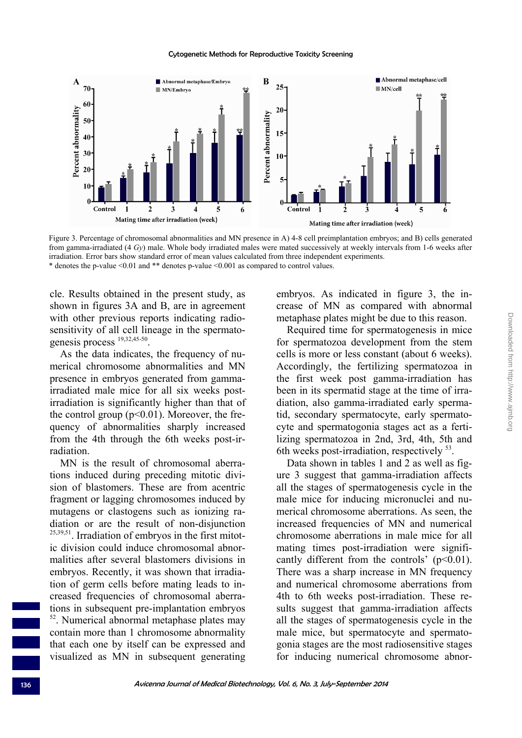

Figure 3. Percentage of chromosomal abnormalities and MN presence in A) 4-8 cell preimplantation embryos; and B) cells generated from gamma-irradiated (4 *Gy*) male. Whole body irradiated males were mated successively at weekly intervals from 1-6 weeks after irradiation. Error bars show standard error of mean values calculated from three independent experiments. \* denotes the p-value <0.01 and \*\* denotes p-value <0.001 as compared to control values.

cle. Results obtained in the present study, as shown in figures 3A and B, are in agreement with other previous reports indicating radiosensitivity of all cell lineage in the spermatogenesis process 19,32,45-50.

As the data indicates, the frequency of numerical chromosome abnormalities and MN presence in embryos generated from gammairradiated male mice for all six weeks postirradiation is significantly higher than that of the control group  $(p<0.01)$ . Moreover, the frequency of abnormalities sharply increased from the 4th through the 6th weeks post-irradiation.

MN is the result of chromosomal aberrations induced during preceding mitotic division of blastomers. These are from acentric fragment or lagging chromosomes induced by mutagens or clastogens such as ionizing radiation or are the result of non-disjunction  $25,39,51$ . Irradiation of embryos in the first mitotic division could induce chromosomal abnormalities after several blastomers divisions in embryos. Recently, it was shown that irradiation of germ cells before mating leads to increased frequencies of chromosomal aberrations in subsequent pre-implantation embryos 52. Numerical abnormal metaphase plates may contain more than 1 chromosome abnormality that each one by itself can be expressed and visualized as MN in subsequent generating

embryos. As indicated in figure 3, the increase of MN as compared with abnormal metaphase plates might be due to this reason.

Required time for spermatogenesis in mice for spermatozoa development from the stem cells is more or less constant (about 6 weeks). Accordingly, the fertilizing spermatozoa in the first week post gamma-irradiation has been in its spermatid stage at the time of irradiation, also gamma-irradiated early spermatid, secondary spermatocyte, early spermatocyte and spermatogonia stages act as a fertilizing spermatozoa in 2nd, 3rd, 4th, 5th and 6th weeks post-irradiation, respectively <sup>53</sup>.

Data shown in tables 1 and 2 as well as figure 3 suggest that gamma-irradiation affects all the stages of spermatogenesis cycle in the male mice for inducing micronuclei and numerical chromosome aberrations. As seen, the increased frequencies of MN and numerical chromosome aberrations in male mice for all mating times post-irradiation were significantly different from the controls'  $(p<0.01)$ . There was a sharp increase in MN frequency and numerical chromosome aberrations from 4th to 6th weeks post-irradiation. These results suggest that gamma-irradiation affects all the stages of spermatogenesis cycle in the male mice, but spermatocyte and spermatogonia stages are the most radiosensitive stages for inducing numerical chromosome abnor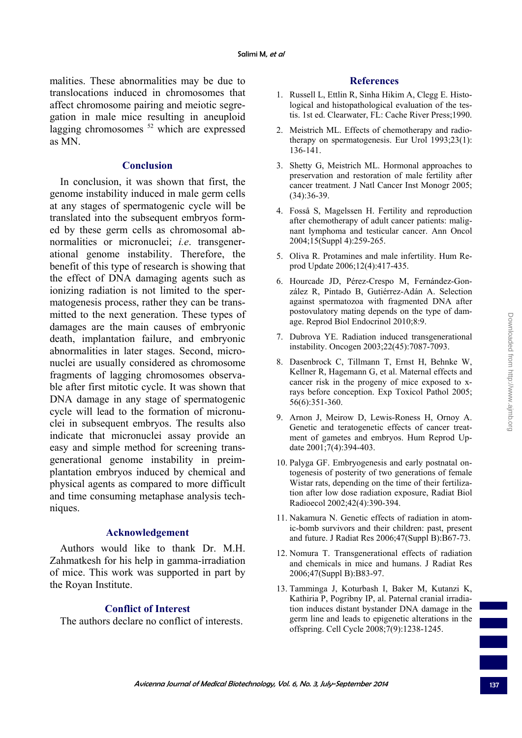malities. These abnormalities may be due to translocations induced in chromosomes that affect chromosome pairing and meiotic segregation in male mice resulting in aneuploid lagging chromosomes <sup>52</sup> which are expressed as MN.

#### **Conclusion**

In conclusion, it was shown that first, the genome instability induced in male germ cells at any stages of spermatogenic cycle will be translated into the subsequent embryos formed by these germ cells as chromosomal abnormalities or micronuclei; *i.e*. transgenerational genome instability. Therefore, the benefit of this type of research is showing that the effect of DNA damaging agents such as ionizing radiation is not limited to the spermatogenesis process, rather they can be transmitted to the next generation. These types of damages are the main causes of embryonic death, implantation failure, and embryonic abnormalities in later stages. Second, micronuclei are usually considered as chromosome fragments of lagging chromosomes observable after first mitotic cycle. It was shown that DNA damage in any stage of spermatogenic cycle will lead to the formation of micronuclei in subsequent embryos. The results also indicate that micronuclei assay provide an easy and simple method for screening transgenerational genome instability in preimplantation embryos induced by chemical and physical agents as compared to more difficult and time consuming metaphase analysis techniques.

### **Acknowledgement**

Authors would like to thank Dr. M.H. Zahmatkesh for his help in gamma-irradiation of mice. This work was supported in part by the Royan Institute.

### **Conflict of Interest**

The authors declare no conflict of interests.

#### **References**

- 1. Russell L, Ettlin R, Sinha Hikim A, Clegg E. Histological and histopathological evaluation of the testis. 1st ed. Clearwater, FL: Cache River Press;1990.
- 2. Meistrich ML. Effects of chemotherapy and radiotherapy on spermatogenesis. Eur Urol 1993;23(1): 136-141.
- 3. Shetty G, Meistrich ML. Hormonal approaches to preservation and restoration of male fertility after cancer treatment. J Natl Cancer Inst Monogr 2005; (34):36-39.
- 4. Fosså S, Magelssen H. Fertility and reproduction after chemotherapy of adult cancer patients: malignant lymphoma and testicular cancer. Ann Oncol 2004;15(Suppl 4):259-265.
- 5. Oliva R. Protamines and male infertility. Hum Reprod Update 2006;12(4):417-435.
- 6. Hourcade JD, Pérez-Crespo M, Fernández-González R, Pintado B, Gutiérrez-Adán A. Selection against spermatozoa with fragmented DNA after postovulatory mating depends on the type of damage. Reprod Biol Endocrinol 2010;8:9.
- 7. Dubrova YE. Radiation induced transgenerational instability. Oncogen 2003;22(45):7087-7093.
- 8. Dasenbrock C, Tillmann T, Ernst H, Behnke W, Kellner R, Hagemann G, et al. Maternal effects and cancer risk in the progeny of mice exposed to xrays before conception. Exp Toxicol Pathol 2005; 56(6):351-360.
- 9. Arnon J, Meirow D, Lewis-Roness H, Ornoy A. Genetic and teratogenetic effects of cancer treatment of gametes and embryos. Hum Reprod Update 2001;7(4):394-403.
- 10. Palyga GF. Embryogenesis and early postnatal ontogenesis of posterity of two generations of female Wistar rats, depending on the time of their fertilization after low dose radiation exposure, Radiat Biol Radioecol 2002;42(4):390-394.
- 11. Nakamura N. Genetic effects of radiation in atomic-bomb survivors and their children: past, present and future. J Radiat Res 2006;47(Suppl B):B67-73.
- 12. Nomura T. Transgenerational effects of radiation and chemicals in mice and humans. J Radiat Res 2006;47(Suppl B):B83-97.
- 13. Tamminga J, Koturbash I, Baker M, Kutanzi K, Kathiria P, Pogribny IP, al. Paternal cranial irradiation induces distant bystander DNA damage in the germ line and leads to epigenetic alterations in the offspring. Cell Cycle 2008;7(9):1238-1245.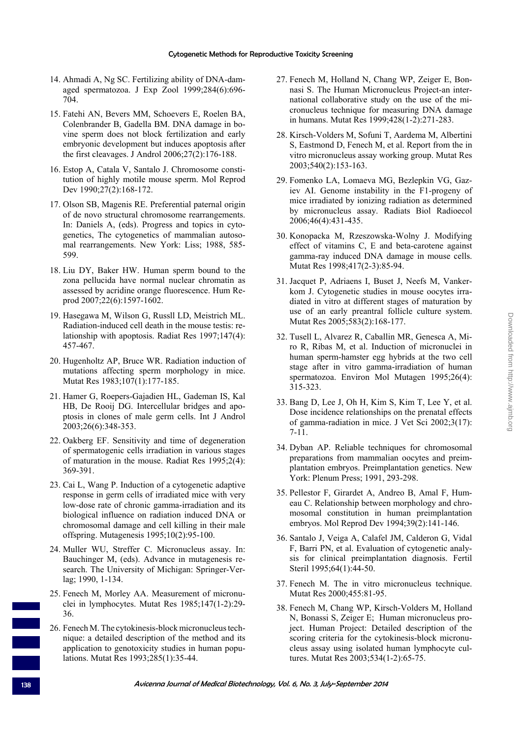- 14. Ahmadi A, Ng SC. Fertilizing ability of DNA-damaged spermatozoa. J Exp Zool 1999;284(6):696- 704.
- 15. Fatehi AN, Bevers MM, Schoevers E, Roelen BA, Colenbrander B, Gadella BM. DNA damage in bovine sperm does not block fertilization and early embryonic development but induces apoptosis after the first cleavages. J Androl 2006;27(2):176-188.
- 16. Estop A, Catala V, Santalo J. Chromosome constitution of highly motile mouse sperm. Mol Reprod Dev 1990;27(2):168-172.
- 17. Olson SB, Magenis RE. Preferential paternal origin of de novo structural chromosome rearrangements. In: Daniels A, (eds). Progress and topics in cytogenetics, The cytogenetics of mammalian autosomal rearrangements. New York: Liss; 1988, 585- 599.
- 18. Liu DY, Baker HW. Human sperm bound to the zona pellucida have normal nuclear chromatin as assessed by acridine orange fluorescence. Hum Reprod 2007;22(6):1597-1602.
- 19. Hasegawa M, Wilson G, Russll LD, Meistrich ML. Radiation-induced cell death in the mouse testis: relationship with apoptosis. Radiat Res 1997;147(4): 457-467.
- 20. Hugenholtz AP, Bruce WR. Radiation induction of mutations affecting sperm morphology in mice. Mutat Res 1983;107(1):177-185.
- 21. Hamer G, Roepers-Gajadien HL, Gademan IS, Kal HB, De Rooij DG. Intercellular bridges and apoptosis in clones of male germ cells. Int J Androl 2003;26(6):348-353.
- 22. Oakberg EF. Sensitivity and time of degeneration of spermatogenic cells irradiation in various stages of maturation in the mouse. Radiat Res 1995;2(4): 369-391.
- 23. Cai L, Wang P. Induction of a cytogenetic adaptive response in germ cells of irradiated mice with very low-dose rate of chronic gamma-irradiation and its biological influence on radiation induced DNA or chromosomal damage and cell killing in their male offspring. Mutagenesis 1995;10(2):95-100.
- 24. Muller WU, Streffer C. Micronucleus assay. In: Bauchinger M, (eds). Advance in mutagenesis research. The University of Michigan: Springer-Verlag; 1990, 1-134.
- 25. Fenech M, Morley AA. Measurement of micronuclei in lymphocytes. Mutat Res 1985;147(1-2):29- 36.
- 26. Fenech M. The cytokinesis-block micronucleus technique: a detailed description of the method and its application to genotoxicity studies in human populations. Mutat Res 1993;285(1):35-44.
- 27. Fenech M, Holland N, Chang WP, Zeiger E, Bonnasi S. The Human Micronucleus Project-an international collaborative study on the use of the micronucleus technique for measuring DNA damage in humans. Mutat Res 1999;428(1-2):271-283.
- 28. Kirsch-Volders M, Sofuni T, Aardema M, Albertini S, Eastmond D, Fenech M, et al. Report from the in vitro micronucleus assay working group. Mutat Res 2003;540(2):153-163.
- 29. Fomenko LA, Lomaeva MG, Bezlepkin VG, Gaziev AI. Genome instability in the F1-progeny of mice irradiated by ionizing radiation as determined by micronucleus assay. Radiats Biol Radioecol 2006;46(4):431-435.
- 30. Konopacka M, Rzeszowska-Wolny J. Modifying effect of vitamins C, E and beta-carotene against gamma-ray induced DNA damage in mouse cells. Mutat Res 1998;417(2-3):85-94.
- 31. Jacquet P, Adriaens I, Buset J, Neefs M, Vankerkom J. Cytogenetic studies in mouse oocytes irradiated in vitro at different stages of maturation by use of an early preantral follicle culture system. Mutat Res 2005;583(2):168-177.
- 32. Tusell L, Alvarez R, Caballin MR, Genesca A, Miro R, Ribas M, et al. Induction of micronuclei in human sperm-hamster egg hybrids at the two cell stage after in vitro gamma-irradiation of human spermatozoa. Environ Mol Mutagen 1995;26(4): 315-323.
- 33. Bang D, Lee J, Oh H, Kim S, Kim T, Lee Y, et al. Dose incidence relationships on the prenatal effects of gamma-radiation in mice. J Vet Sci 2002;3(17): 7-11.
- 34. Dyban AP. Reliable techniques for chromosomal preparations from mammalian oocytes and preimplantation embryos. Preimplantation genetics. New York: Plenum Press; 1991, 293-298.
- 35. Pellestor F, Girardet A, Andreo B, Amal F, Humeau C. Relationship between morphology and chromosomal constitution in human preimplantation embryos. Mol Reprod Dev 1994;39(2):141-146.
- 36. Santalo J, Veiga A, Calafel JM, Calderon G, Vidal F, Barri PN, et al. Evaluation of cytogenetic analysis for clinical preimplantation diagnosis. Fertil Steril 1995;64(1):44-50.
- 37. Fenech M. The in vitro micronucleus technique. Mutat Res 2000;455:81-95.
- 38. Fenech M, Chang WP, Kirsch-Volders M, Holland N, Bonassi S, Zeiger E; Human micronucleus project. Human Project: Detailed description of the scoring criteria for the cytokinesis-block micronucleus assay using isolated human lymphocyte cultures. Mutat Res 2003;534(1-2):65-75.